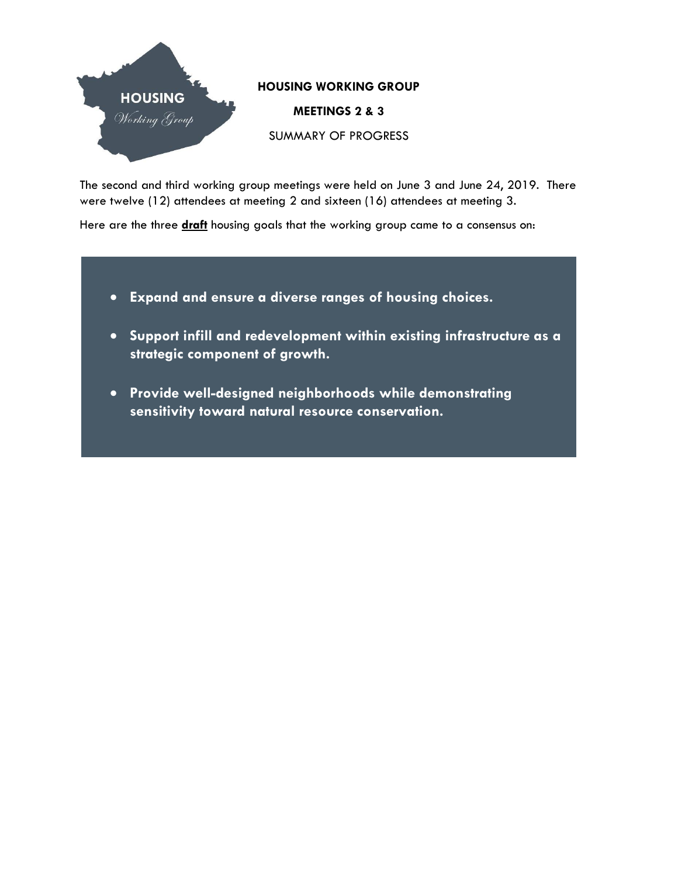

The second and third working group meetings were held on June 3 and June 24, 2019. There were twelve (12) attendees at meeting 2 and sixteen (16) attendees at meeting 3.

Here are the three **draft** housing goals that the working group came to a consensus on:

- **Expand and ensure a diverse ranges of housing choices.**
- **Support infill and redevelopment within existing infrastructure as a strategic component of growth.**
- **Provide well-designed neighborhoods while demonstrating sensitivity toward natural resource conservation.**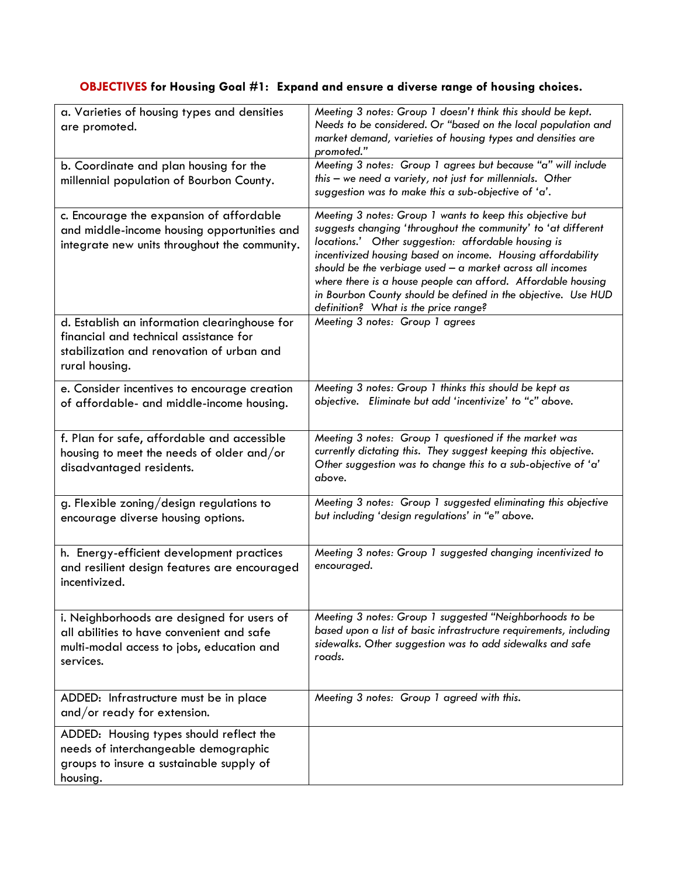## **OBJECTIVES for Housing Goal #1: Expand and ensure a diverse range of housing choices.**

| a. Varieties of housing types and densities<br>are promoted.                                                                                           | Meeting 3 notes: Group 1 doesn't think this should be kept.<br>Needs to be considered. Or "based on the local population and<br>market demand, varieties of housing types and densities are<br>promoted."                                                                                                                                                                                                                                                                                |
|--------------------------------------------------------------------------------------------------------------------------------------------------------|------------------------------------------------------------------------------------------------------------------------------------------------------------------------------------------------------------------------------------------------------------------------------------------------------------------------------------------------------------------------------------------------------------------------------------------------------------------------------------------|
| b. Coordinate and plan housing for the<br>millennial population of Bourbon County.                                                                     | Meeting 3 notes: Group 1 agrees but because "a" will include<br>this - we need a variety, not just for millennials. Other<br>suggestion was to make this a sub-objective of 'a'.                                                                                                                                                                                                                                                                                                         |
| c. Encourage the expansion of affordable<br>and middle-income housing opportunities and<br>integrate new units throughout the community.               | Meeting 3 notes: Group 1 wants to keep this objective but<br>suggests changing 'throughout the community' to 'at different<br>locations.' Other suggestion: affordable housing is<br>incentivized housing based on income. Housing affordability<br>should be the verbiage used $-$ a market across all incomes<br>where there is a house people can afford. Affordable housing<br>in Bourbon County should be defined in the objective. Use HUD<br>definition? What is the price range? |
| d. Establish an information clearinghouse for<br>financial and technical assistance for<br>stabilization and renovation of urban and<br>rural housing. | Meeting 3 notes: Group 1 agrees                                                                                                                                                                                                                                                                                                                                                                                                                                                          |
| e. Consider incentives to encourage creation<br>of affordable- and middle-income housing.                                                              | Meeting 3 notes: Group 1 thinks this should be kept as<br>objective. Eliminate but add 'incentivize' to "c" above.                                                                                                                                                                                                                                                                                                                                                                       |
| f. Plan for safe, affordable and accessible<br>housing to meet the needs of older and/or<br>disadvantaged residents.                                   | Meeting 3 notes: Group 1 questioned if the market was<br>currently dictating this. They suggest keeping this objective.<br>Other suggestion was to change this to a sub-objective of 'a'<br>above.                                                                                                                                                                                                                                                                                       |
| g. Flexible zoning/design regulations to<br>encourage diverse housing options.                                                                         | Meeting 3 notes: Group 1 suggested eliminating this objective<br>but including 'design regulations' in "e" above.                                                                                                                                                                                                                                                                                                                                                                        |
| h. Energy-efficient development practices<br>and resilient design features are encouraged<br>incentivized.                                             | Meeting 3 notes: Group 1 suggested changing incentivized to<br>encouraged.                                                                                                                                                                                                                                                                                                                                                                                                               |
| i. Neighborhoods are designed for users of<br>all abilities to have convenient and safe<br>multi-modal access to jobs, education and<br>services.      | Meeting 3 notes: Group 1 suggested "Neighborhoods to be<br>based upon a list of basic infrastructure requirements, including<br>sidewalks. Other suggestion was to add sidewalks and safe<br>roads.                                                                                                                                                                                                                                                                                      |
| ADDED: Infrastructure must be in place<br>and/or ready for extension.                                                                                  | Meeting 3 notes: Group 1 agreed with this.                                                                                                                                                                                                                                                                                                                                                                                                                                               |
| ADDED: Housing types should reflect the<br>needs of interchangeable demographic<br>groups to insure a sustainable supply of<br>housing.                |                                                                                                                                                                                                                                                                                                                                                                                                                                                                                          |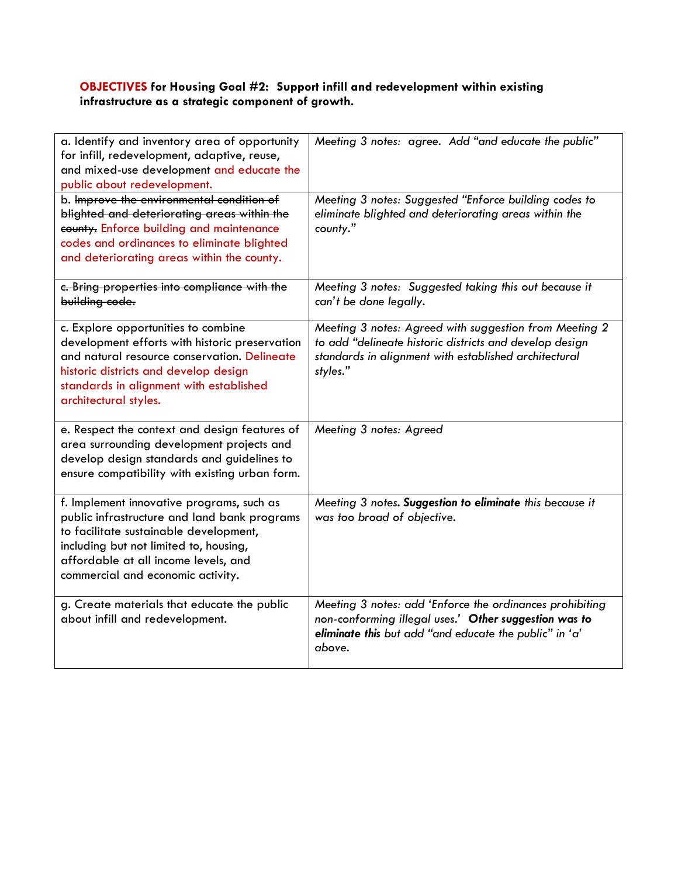## **OBJECTIVES for Housing Goal #2: Support infill and redevelopment within existing infrastructure as a strategic component of growth.**

| a. Identify and inventory area of opportunity<br>for infill, redevelopment, adaptive, reuse,<br>and mixed-use development and educate the<br>public about redevelopment.                                                                                   | Meeting 3 notes: agree. Add "and educate the public"                                                                                                                                   |
|------------------------------------------------------------------------------------------------------------------------------------------------------------------------------------------------------------------------------------------------------------|----------------------------------------------------------------------------------------------------------------------------------------------------------------------------------------|
| b. Improve the environmental condition of<br>blighted and deteriorating areas within the<br>county. Enforce building and maintenance<br>codes and ordinances to eliminate blighted<br>and deteriorating areas within the county.                           | Meeting 3 notes: Suggested "Enforce building codes to<br>eliminate blighted and deteriorating areas within the<br>county."                                                             |
| c. Bring properties into compliance with the<br>building code.                                                                                                                                                                                             | Meeting 3 notes: Suggested taking this out because it<br>can't be done legally.                                                                                                        |
| c. Explore opportunities to combine<br>development efforts with historic preservation<br>and natural resource conservation. Delineate<br>historic districts and develop design<br>standards in alignment with established<br>architectural styles.         | Meeting 3 notes: Agreed with suggestion from Meeting 2<br>to add "delineate historic districts and develop design<br>standards in alignment with established architectural<br>styles." |
| e. Respect the context and design features of<br>area surrounding development projects and<br>develop design standards and guidelines to<br>ensure compatibility with existing urban form.                                                                 | Meeting 3 notes: Agreed                                                                                                                                                                |
| f. Implement innovative programs, such as<br>public infrastructure and land bank programs<br>to facilitate sustainable development,<br>including but not limited to, housing,<br>affordable at all income levels, and<br>commercial and economic activity. | Meeting 3 notes. Suggestion to eliminate this because it<br>was too broad of objective.                                                                                                |
| g. Create materials that educate the public<br>about infill and redevelopment.                                                                                                                                                                             | Meeting 3 notes: add 'Enforce the ordinances prohibiting<br>non-conforming illegal uses.' Other suggestion was to<br>eliminate this but add "and educate the public" in 'a'<br>above.  |